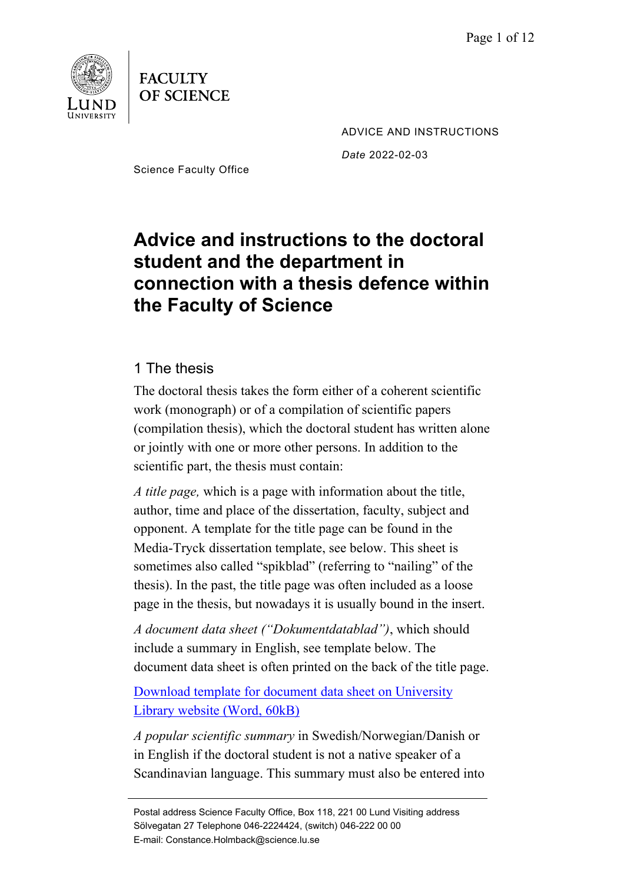



ADVICE AND INSTRUCTIONS *Date* 2022-02-03

Science Faculty Office

# **Advice and instructions to the doctoral student and the department in connection with a thesis defence within the Faculty of Science**

## 1 The thesis

The doctoral thesis takes the form either of a coherent scientific work (monograph) or of a compilation of scientific papers (compilation thesis), which the doctoral student has written alone or jointly with one or more other persons. In addition to the scientific part, the thesis must contain:

*A title page,* which is a page with information about the title, author, time and place of the dissertation, faculty, subject and opponent. A template for the title page can be found in the Media-Tryck dissertation template, see below. This sheet is sometimes also called "spikblad" (referring to "nailing" of the thesis). In the past, the title page was often included as a loose page in the thesis, but nowadays it is usually bound in the insert.

*A document data sheet ("Dokumentdatablad")*, which should include a summary in English, see template below. The document data sheet is often printed on the back of the title page.

[Download template for document data sheet on University](http://www.lub.lu.se/sites/lub.lu.se/files/dokumentdatablad_tryckta_avhandlingar.doc)  [Library website](http://www.lub.lu.se/sites/lub.lu.se/files/dokumentdatablad_tryckta_avhandlingar.doc) (Word, 60kB)

*A popular scientific summary* in Swedish/Norwegian/Danish or in English if the doctoral student is not a native speaker of a Scandinavian language. This summary must also be entered into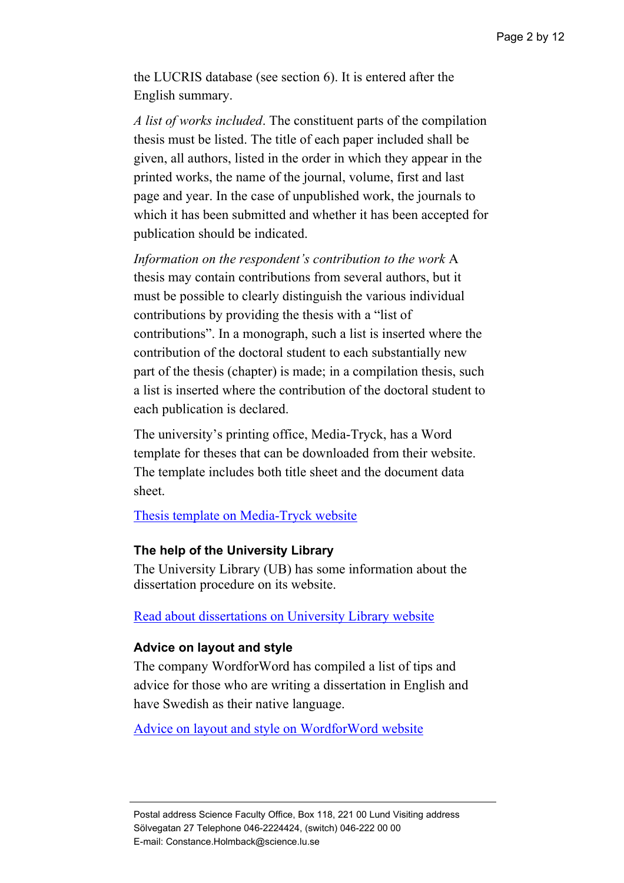the LUCRIS database (see section 6). It is entered after the English summary.

*A list of works included*. The constituent parts of the compilation thesis must be listed. The title of each paper included shall be given, all authors, listed in the order in which they appear in the printed works, the name of the journal, volume, first and last page and year. In the case of unpublished work, the journals to which it has been submitted and whether it has been accepted for publication should be indicated.

*Information on the respondent's contribution to the work* A thesis may contain contributions from several authors, but it must be possible to clearly distinguish the various individual contributions by providing the thesis with a "list of contributions". In a monograph, such a list is inserted where the contribution of the doctoral student to each substantially new part of the thesis (chapter) is made; in a compilation thesis, such a list is inserted where the contribution of the doctoral student to each publication is declared.

The university's printing office, Media-Tryck, has a Word template for theses that can be downloaded from their website. The template includes both title sheet and the document data sheet.

[Thesis template on Media-Tryck website](https://www.mediatryck.lu.se/en/phd-students)

### **The help of the University Library**

The University Library (UB) has some information about the dissertation procedure on its website.

[Read about dissertations on University Library website](https://www.lub.lu.se/en/services-and-support/publishing-and-registering/registeringpublishing-lucris-researchers/doctoral-theses)

#### **Advice on layout and style**

The company WordforWord has compiled a list of tips and advice for those who are writing a dissertation in English and have Swedish as their native language.

[Advice on layout and style](http://www.wordforword.se/tips.htm) on WordforWord website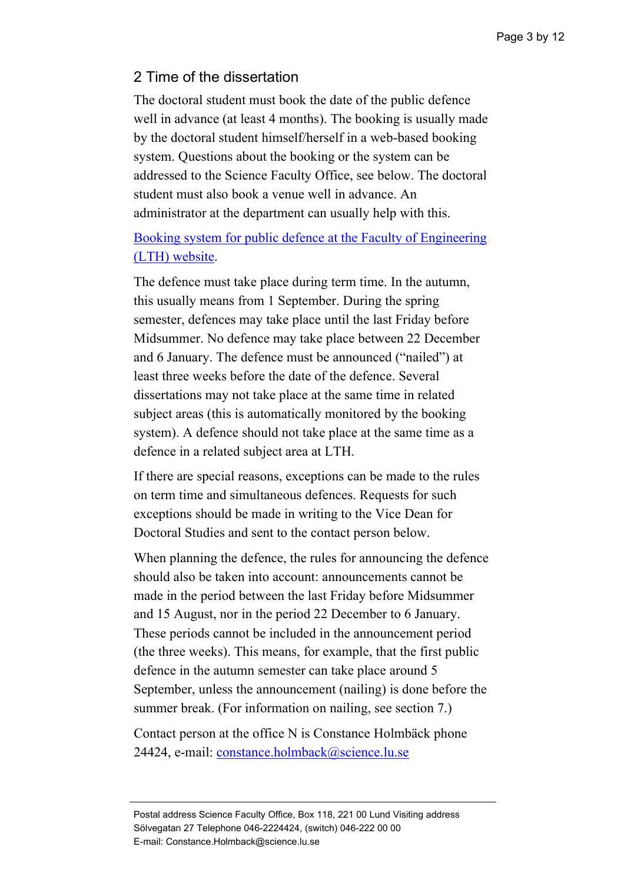## 2 Time of the dissertation

The doctoral student must book the date of the public defence well in advance (at least 4 months). The booking is usually made by the doctoral student himself/herself in a web-based booking system. Questions about the booking or the system can be addressed to the Science Faculty Office, see below. The doctoral student must also book a venue well in advance. An administrator at the department can usually help with this.

## [Booking system for public defence at the Faculty of Engineering](https://fukurser.lth.se/disputation/)  [\(LTH\) website.](https://fukurser.lth.se/disputation/)

The defence must take place during term time. In the autumn, this usually means from 1 September. During the spring semester, defences may take place until the last Friday before Midsummer. No defence may take place between 22 December and 6 January. The defence must be announced ("nailed") at least three weeks before the date of the defence. Several dissertations may not take place at the same time in related subject areas (this is automatically monitored by the booking system). A defence should not take place at the same time as a defence in a related subject area at LTH.

If there are special reasons, exceptions can be made to the rules on term time and simultaneous defences. Requests for such exceptions should be made in writing to the Vice Dean for Doctoral Studies and sent to the contact person below.

When planning the defence, the rules for announcing the defence should also be taken into account: announcements cannot be made in the period between the last Friday before Midsummer and 15 August, nor in the period 22 December to 6 January. These periods cannot be included in the announcement period (the three weeks). This means, for example, that the first public defence in the autumn semester can take place around 5 September, unless the announcement (nailing) is done before the summer break. (For information on nailing, see section 7.)

Contact person at the office N is Constance Holmbäck phone 24424, e-mail: [constance.holmback@science.lu.se](mailto:constance.holmback@science.lu.se)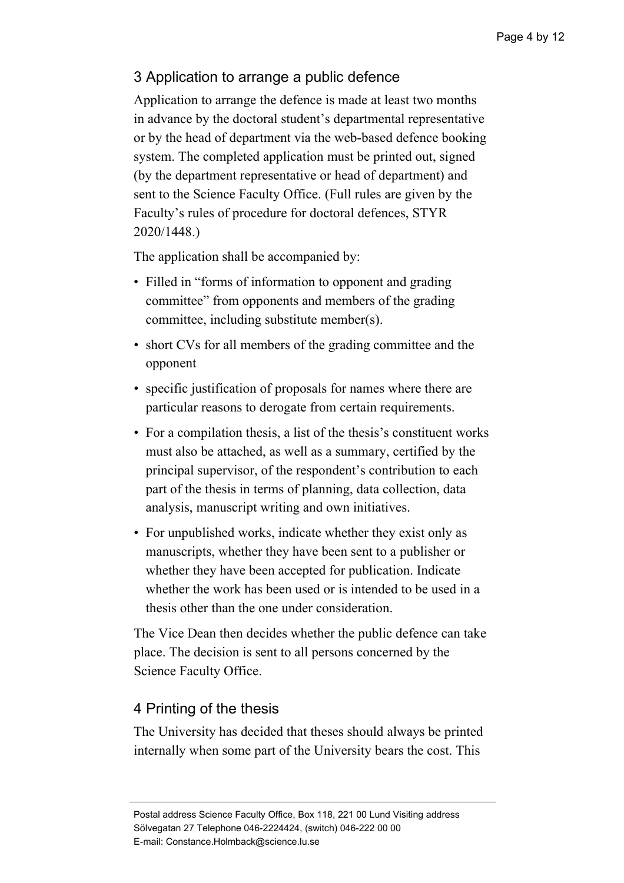## 3 Application to arrange a public defence

Application to arrange the defence is made at least two months in advance by the doctoral student's departmental representative or by the head of department via the web-based [defence booking](https://fukurser.lth.se/disputation)  [system.](https://fukurser.lth.se/disputation) The completed application must be printed out, signed (by the department representative or head of department) and sent to the Science Faculty Office. (Full rules are given by the Faculty's rules of procedure for doctoral defences, STYR 2020/1448.)

The application shall be accompanied by:

- Filled in "forms of information to opponent and grading committee" from opponents and members of the grading committee, including substitute member(s).
- short CVs for all members of the grading committee and the opponent
- specific justification of proposals for names where there are particular reasons to derogate from certain requirements.
- For a compilation thesis, a list of the thesis's constituent works must also be attached, as well as a summary, certified by the principal supervisor, of the respondent's contribution to each part of the thesis in terms of planning, data collection, data analysis, manuscript writing and own initiatives.
- For unpublished works, indicate whether they exist only as manuscripts, whether they have been sent to a publisher or whether they have been accepted for publication. Indicate whether the work has been used or is intended to be used in a thesis other than the one under consideration.

The Vice Dean then decides whether the public defence can take place. The decision is sent to all persons concerned by the Science Faculty Office.

## 4 Printing of the thesis

The University has decided that theses should always be printed internally when some part of the University bears the cost. This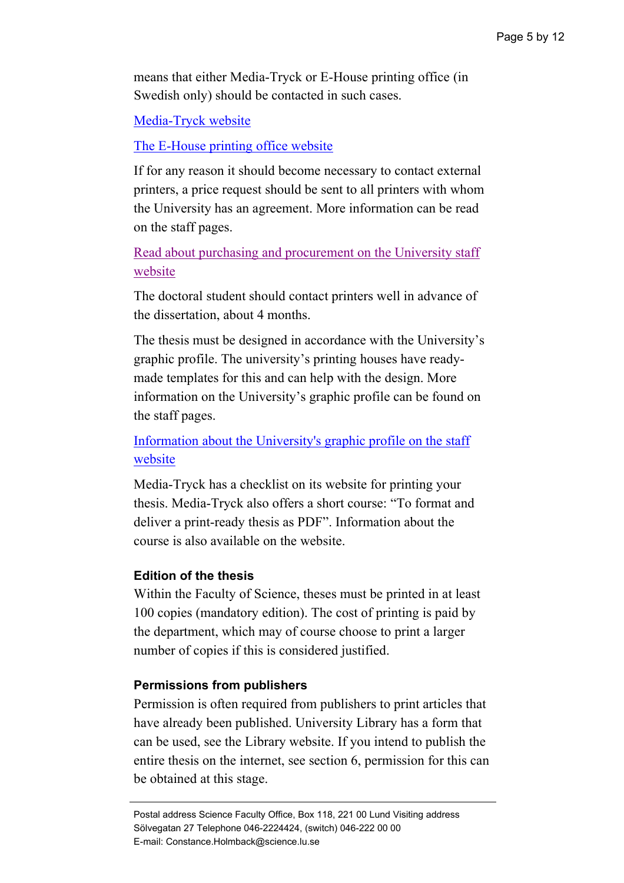means that either Media-Tryck or E-House printing office (in Swedish only) should be contacted in such cases.

[Media-Tryck](https://www.mediatryck.lu.se/en/phd-students) website

## [The E-House printing office](http://www.ehuset.lth.se/tryckeriet/) website

If for any reason it should become necessary to contact external printers, a price request should be sent to all printers with whom the University has an agreement. More information can be read on the staff pages.

[Read about purchasing and procurement on the University staff](https://www.staff.lu.se/support-and-tools/purchases-invoices-finances/purchasing-and-procurement)  [website](https://www.staff.lu.se/support-and-tools/purchases-invoices-finances/purchasing-and-procurement)

The doctoral student should contact printers well in advance of the dissertation, about 4 months.

The thesis must be designed in accordance with the University's graphic profile. The university's printing houses have readymade templates for this and can help with the design. More information on the University's graphic profile can be found on the staff pages.

## [Information about the University's graphic profile on the staff](https://www.staff.lu.se/support-and-tools/communication-and-graphic-profile/graphic-profile-and-logotype)  [website](https://www.staff.lu.se/support-and-tools/communication-and-graphic-profile/graphic-profile-and-logotype)

Media-Tryck has a checklist on its website for printing your thesis. Media-Tryck also offers a short course: "To format and deliver a print-ready thesis as PDF". Information about the course is also available on the website.

### **Edition of the thesis**

Within the Faculty of Science, theses must be printed in at least 100 copies (mandatory edition). The cost of printing is paid by the department, which may of course choose to print a larger number of copies if this is considered justified.

#### **Permissions from publishers**

Permission is often required from publishers to print articles that have already been published. University Library has a form that can be used, see the Library website. If you intend to publish the entire thesis on the internet, see section 6, permission for this can be obtained at this stage.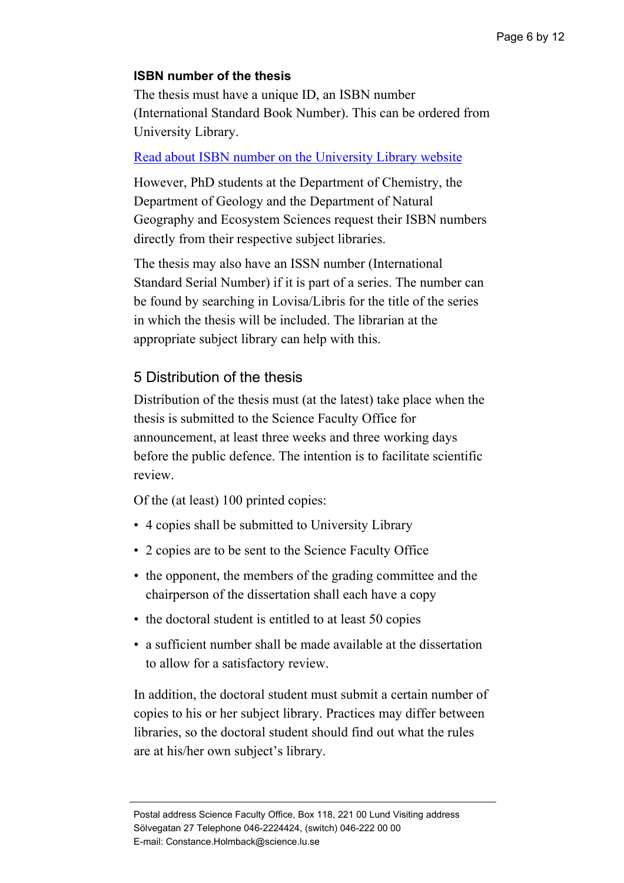## **ISBN number of the thesis**

The thesis must have a unique ID, an ISBN number (International Standard Book Number). This can be ordered from University Library.

## [Read about ISBN number on the University Library website](https://www.ub.lu.se/en/publish/doctoral-theses/isbn-doctoral-thesis?q=publish/registering-and-publishing-in-lup/doctoral-theses/isbn-for-a-doctoral-thesis)

However, PhD students at the Department of Chemistry, the Department of Geology and the Department of Natural Geography and Ecosystem Sciences request their ISBN numbers directly from their respective subject libraries.

The thesis may also have an ISSN number (International Standard Serial Number) if it is part of a series. The number can be found by searching in Lovisa/Libris for the title of the series in which the thesis will be included. The librarian at the appropriate subject library can help with this.

## 5 Distribution of the thesis

Distribution of the thesis must (at the latest) take place when the thesis is submitted to the Science Faculty Office for announcement, at least three weeks and three working days before the public defence. The intention is to facilitate scientific review.

Of the (at least) 100 printed copies:

- 4 copies shall be submitted to University Library
- 2 copies are to be sent to the Science Faculty Office
- the opponent, the members of the grading committee and the chairperson of the dissertation shall each have a copy
- the doctoral student is entitled to at least 50 copies
- a sufficient number shall be made available at the dissertation to allow for a satisfactory review.

In addition, the doctoral student must submit a certain number of copies to his or her subject library. Practices may differ between libraries, so the doctoral student should find out what the rules are at his/her own subject's library.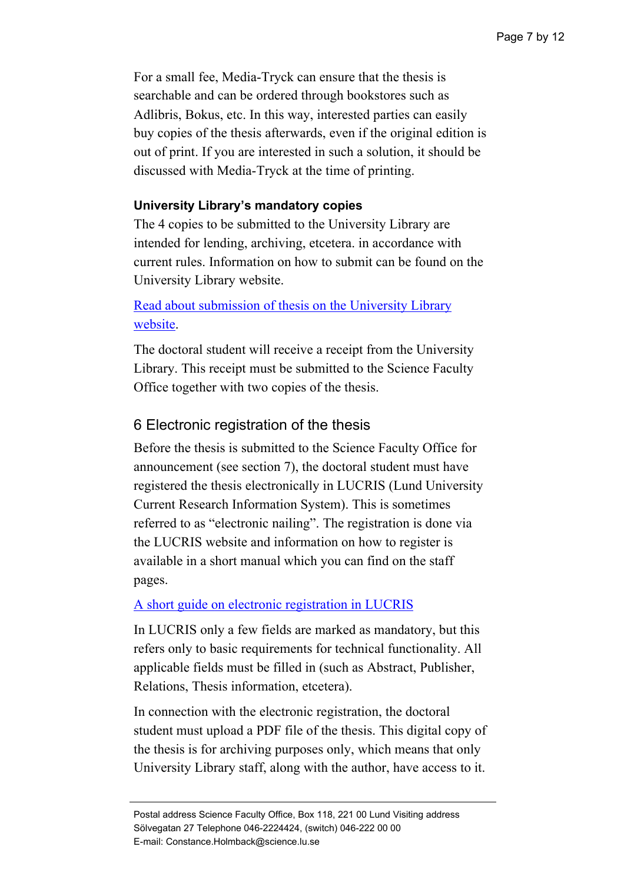For a small fee, Media-Tryck can ensure that the thesis is searchable and can be ordered through bookstores such as Adlibris, Bokus, etc. In this way, interested parties can easily buy copies of the thesis afterwards, even if the original edition is out of print. If you are interested in such a solution, it should be discussed with Media-Tryck at the time of printing.

### **University Library's mandatory copies**

The 4 copies to be submitted to the University Library are intended for lending, archiving, etcetera. in accordance with current rules. Information on how to submit can be found on the University Library website.

## [Read about submission of thesis on the University Library](https://www.lub.lu.se/en/services-and-support/publishing-and-registering/registeringpublishing-lucris-researchers/doctoral-theses/faq-about-registration-procedure?q=services-and-activities/publication/publishing-in-lup/doctoral-thesis/faq-about-the-registration-procedure)  [website.](https://www.lub.lu.se/en/services-and-support/publishing-and-registering/registeringpublishing-lucris-researchers/doctoral-theses/faq-about-registration-procedure?q=services-and-activities/publication/publishing-in-lup/doctoral-thesis/faq-about-the-registration-procedure)

The doctoral student will receive a receipt from the University Library. This receipt must be submitted to the Science Faculty Office together with two copies of the thesis.

## 6 Electronic registration of the thesis

Before the thesis is submitted to the Science Faculty Office for announcement (see section 7), the doctoral student must have registered the thesis electronically in LUCRIS (Lund University Current Research Information System). This is sometimes referred to as "electronic nailing". The registration is done via the LUCRIS website and information on how to register is available in a short manual which you can find on the staff pages.

### [A short guide on electronic registration in LUCRIS](https://www.staff.lu.se/sites/staff.lu.se/files/lucris_short_guide_for_doctoral_and_licentiate_students.pdf)

In LUCRIS only a few fields are marked as mandatory, but this refers only to basic requirements for technical functionality. All applicable fields must be filled in (such as Abstract, Publisher, Relations, Thesis information, etcetera).

In connection with the electronic registration, the doctoral student must upload a PDF file of the thesis. This digital copy of the thesis is for archiving purposes only, which means that only University Library staff, along with the author, have access to it.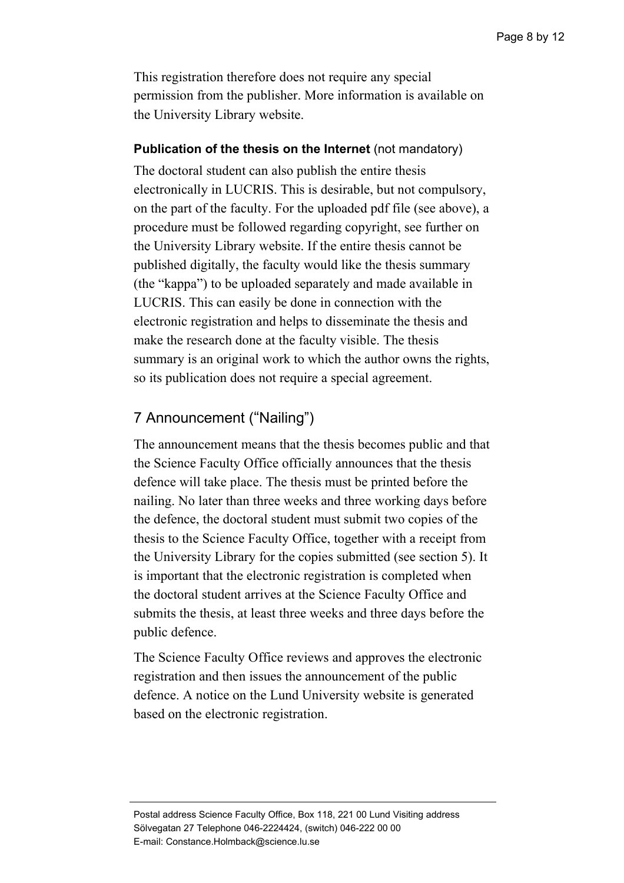This registration therefore does not require any special permission from the publisher. More information is available on the University Library [website.](http://www.ub.lu.se/publicera/registrera-och-publicera-i-lup/avhandlingar/registrera-avhandling)

#### **Publication of the thesis on the Internet** (not mandatory)

The doctoral student can also publish the entire thesis electronically in LUCRIS. This is desirable, but not compulsory, on the part of the faculty. For the uploaded pdf file (see above), a procedure must be followed regarding copyright, see further on the University Library website. If the entire thesis cannot be published digitally, the faculty would like the thesis summary (the "kappa") to be uploaded separately and made available in LUCRIS. This can easily be done in connection with the electronic registration and helps to disseminate the thesis and make the research done at the faculty visible. The thesis summary is an original work to which the author owns the rights, so its publication does not require a special agreement.

## 7 Announcement ("Nailing")

The announcement means that the thesis becomes public and that the Science Faculty Office officially announces that the thesis defence will take place. The thesis must be printed before the nailing. No later than three weeks and three working days before the defence, the doctoral student must submit two copies of the thesis to the Science Faculty Office, together with a receipt from the University Library for the copies submitted (see section 5). It is important that the electronic registration is completed when the doctoral student arrives at the Science Faculty Office and submits the thesis, at least three weeks and three days before the public defence.

The Science Faculty Office reviews and approves the electronic registration and then issues the announcement of the public defence. A notice on the Lund University website is generated based on the electronic registration.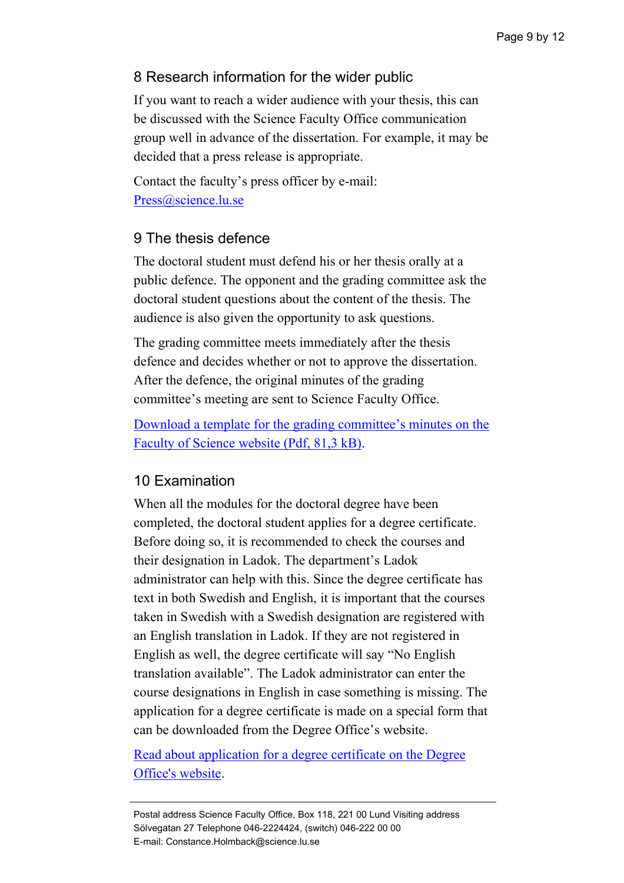## 8 Research information for the wider public

If you want to reach a wider audience with your thesis, this can be discussed with the Science Faculty Office communication group well in advance of the dissertation. For example, it may be decided that a press release is appropriate.

Contact the faculty's press officer by e-mail: [Press@science.lu.se](mailto:Press@science.lu.se)

## 9 The thesis defence

The doctoral student must defend his or her thesis orally at a public defence. The opponent and the grading committee ask the doctoral student questions about the content of the thesis. The audience is also given the opportunity to ask questions.

The grading committee meets immediately after the thesis defence and decides whether or not to approve the dissertation. After the defence, the original minutes of the grading committee's meeting are sent to Science Faculty Office.

[Download a template for the grading committee's minutes on the](https://www.science.lu.se/sites/science.lu.se.internal/files/mall_betygsnamnd_fu.pdf)  [Faculty of Science website \(Pdf, 81,3 kB\).](https://www.science.lu.se/sites/science.lu.se.internal/files/mall_betygsnamnd_fu.pdf)

## 10 Examination

When all the modules for the doctoral degree have been completed, the doctoral student applies for a degree certificate. Before doing so, it is recommended to check the courses and their designation in Ladok. The department's Ladok administrator can help with this. Since the degree certificate has text in both Swedish and English, it is important that the courses taken in Swedish with a Swedish designation are registered with an English translation in Ladok. If they are not registered in English as well, the degree certificate will say "No English translation available". The Ladok administrator can enter the course designations in English in case something is missing. The application for a degree certificate is made on a special form that can be downloaded from the Degree Office's website.

[Read about application for a degree certificate on the Degree](https://www.lunduniversity.lu.se/current-students/academic-matters-and-support/apply-your-degree-certificate)  [Office's website.](https://www.lunduniversity.lu.se/current-students/academic-matters-and-support/apply-your-degree-certificate)

Postal address Science Faculty Office, Box 118, 221 00 Lund Visiting address Sölvegatan 27 Telephone 046-2224424, (switch) 046-222 00 00 E-mail: Constance.Holmback@science.lu.se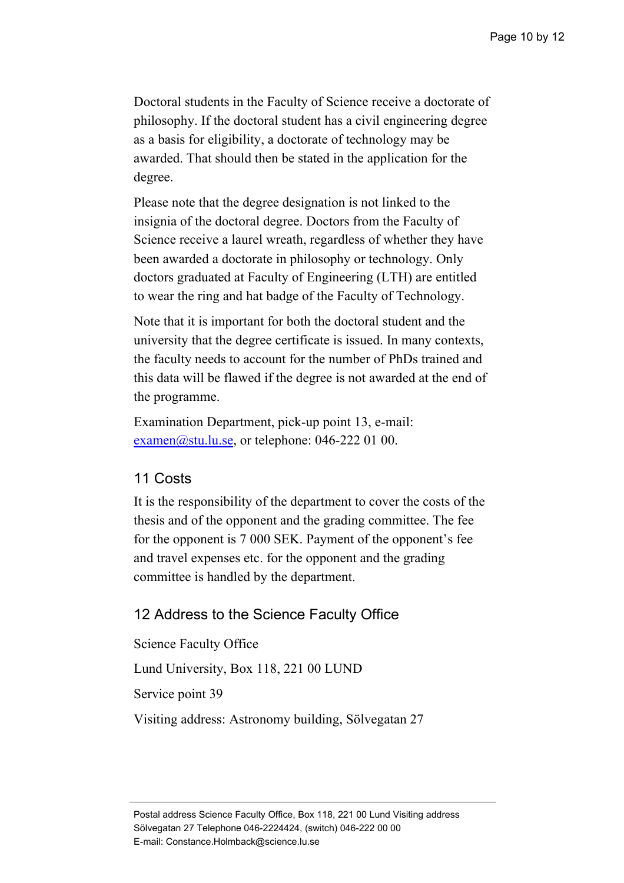Doctoral students in the Faculty of Science receive a doctorate of philosophy. If the doctoral student has a civil engineering degree as a basis for eligibility, a doctorate of technology may be awarded. That should then be stated in the application for the degree.

Please note that the degree designation is not linked to the insignia of the doctoral degree. Doctors from the Faculty of Science receive a laurel wreath, regardless of whether they have been awarded a doctorate in philosophy or technology. Only doctors graduated at Faculty of Engineering (LTH) are entitled to wear the ring and hat badge of the Faculty of Technology.

Note that it is important for both the doctoral student and the university that the degree certificate is issued. In many contexts, the faculty needs to account for the number of PhDs trained and this data will be flawed if the degree is not awarded at the end of the programme.

Examination Department, pick-up point 13, e-mail:  $examen@stu.lu.se,$  or telephone: 046-222 01 00.

## 11 Costs

It is the responsibility of the department to cover the costs of the thesis and of the opponent and the grading committee. The fee for the opponent is 7 000 SEK. Payment of the opponent's fee and travel expenses etc. for the opponent and the grading committee is handled by the department.

## 12 Address to the Science Faculty Office

Science Faculty Office Lund University, Box 118, 221 00 LUND Service point 39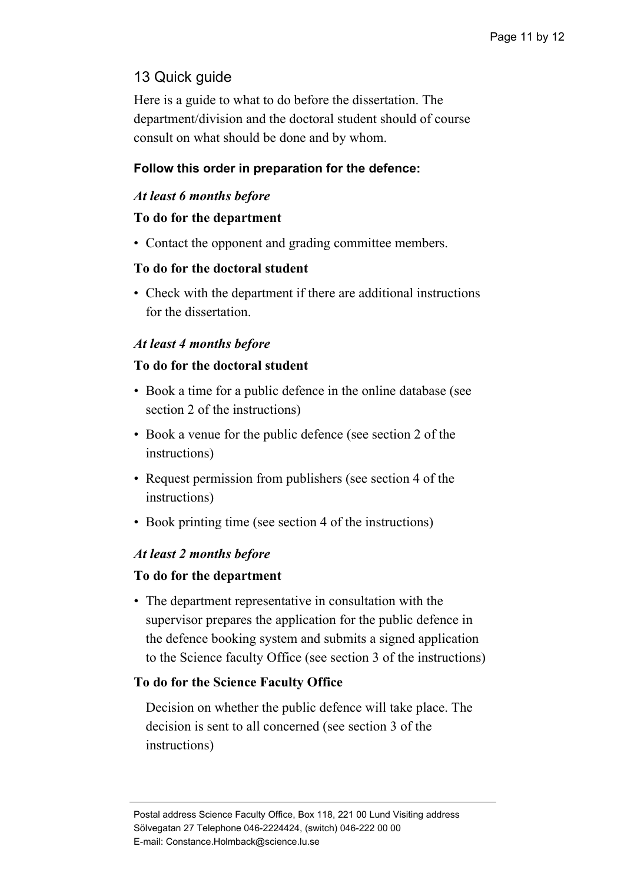## 13 Quick guide

Here is a guide to what to do before the dissertation. The department/division and the doctoral student should of course consult on what should be done and by whom.

## **Follow this order in preparation for the defence:**

### *At least 6 months before*

### **To do for the department**

• Contact the opponent and grading committee members.

## **To do for the doctoral student**

• Check with the department if there are additional instructions for the dissertation.

## *At least 4 months before*

### **To do for the doctoral student**

- Book a time for a public defence in the online database (see section 2 of the instructions)
- Book a venue for the public defence (see section 2 of the instructions)
- Request permission from publishers (see section 4 of the instructions)
- Book printing time (see section 4 of the instructions)

### *At least 2 months before*

### **To do for the department**

• The department representative in consultation with the supervisor prepares the application for the public defence in the defence booking system and submits a signed application to the Science faculty Office (see section 3 of the instructions)

### **To do for the Science Faculty Office**

Decision on whether the public defence will take place. The decision is sent to all concerned (see section 3 of the instructions)